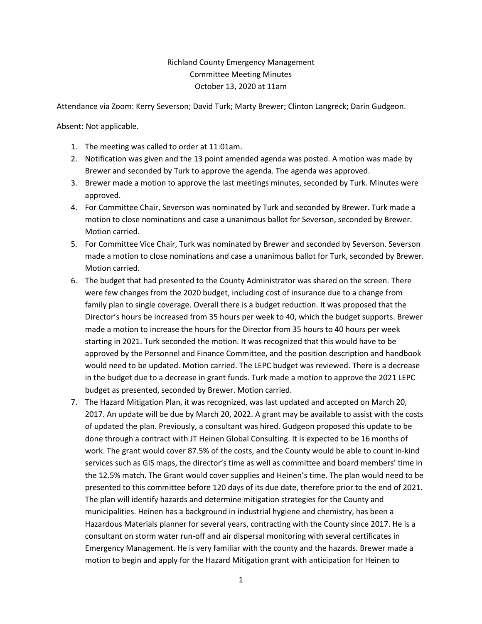## Richland County Emergency Management Committee Meeting Minutes October 13, 2020 at 11am

Attendance via Zoom: Kerry Severson; David Turk; Marty Brewer; Clinton Langreck; Darin Gudgeon.

Absent: Not applicable.

- 1. The meeting was called to order at 11:01am.
- 2. Notification was given and the 13 point amended agenda was posted. A motion was made by Brewer and seconded by Turk to approve the agenda. The agenda was approved.
- 3. Brewer made a motion to approve the last meetings minutes, seconded by Turk. Minutes were approved.
- 4. For Committee Chair, Severson was nominated by Turk and seconded by Brewer. Turk made a motion to close nominations and case a unanimous ballot for Severson, seconded by Brewer. Motion carried.
- 5. For Committee Vice Chair, Turk was nominated by Brewer and seconded by Severson. Severson made a motion to close nominations and case a unanimous ballot for Turk, seconded by Brewer. Motion carried.
- 6. The budget that had presented to the County Administrator was shared on the screen. There were few changes from the 2020 budget, including cost of insurance due to a change from family plan to single coverage. Overall there is a budget reduction. It was proposed that the Director's hours be increased from 35 hours per week to 40, which the budget supports. Brewer made a motion to increase the hours for the Director from 35 hours to 40 hours per week starting in 2021. Turk seconded the motion. It was recognized that this would have to be approved by the Personnel and Finance Committee, and the position description and handbook would need to be updated. Motion carried. The LEPC budget was reviewed. There is a decrease in the budget due to a decrease in grant funds. Turk made a motion to approve the 2021 LEPC budget as presented, seconded by Brewer. Motion carried.
- 7. The Hazard Mitigation Plan, it was recognized, was last updated and accepted on March 20, 2017. An update will be due by March 20, 2022. A grant may be available to assist with the costs of updated the plan. Previously, a consultant was hired. Gudgeon proposed this update to be done through a contract with JT Heinen Global Consulting. It is expected to be 16 months of work. The grant would cover 87.5% of the costs, and the County would be able to count in-kind services such as GIS maps, the director's time as well as committee and board members' time in the 12.5% match. The Grant would cover supplies and Heinen's time. The plan would need to be presented to this committee before 120 days of its due date, therefore prior to the end of 2021. The plan will identify hazards and determine mitigation strategies for the County and municipalities. Heinen has a background in industrial hygiene and chemistry, has been a Hazardous Materials planner for several years, contracting with the County since 2017. He is a consultant on storm water run-off and air dispersal monitoring with several certificates in Emergency Management. He is very familiar with the county and the hazards. Brewer made a motion to begin and apply for the Hazard Mitigation grant with anticipation for Heinen to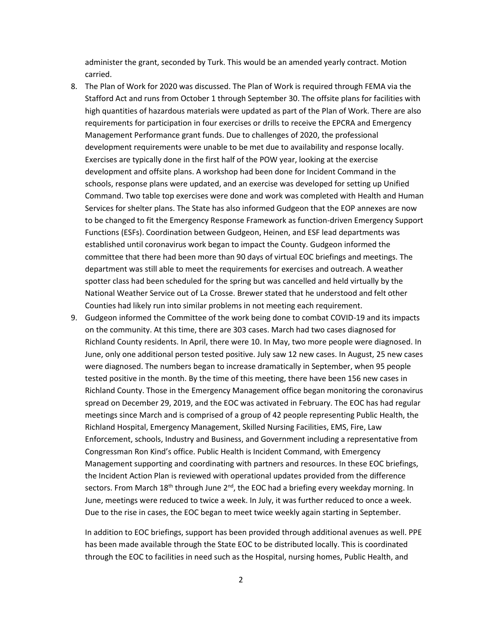administer the grant, seconded by Turk. This would be an amended yearly contract. Motion carried.

- 8. The Plan of Work for 2020 was discussed. The Plan of Work is required through FEMA via the Stafford Act and runs from October 1 through September 30. The offsite plans for facilities with high quantities of hazardous materials were updated as part of the Plan of Work. There are also requirements for participation in four exercises or drills to receive the EPCRA and Emergency Management Performance grant funds. Due to challenges of 2020, the professional development requirements were unable to be met due to availability and response locally. Exercises are typically done in the first half of the POW year, looking at the exercise development and offsite plans. A workshop had been done for Incident Command in the schools, response plans were updated, and an exercise was developed for setting up Unified Command. Two table top exercises were done and work was completed with Health and Human Services for shelter plans. The State has also informed Gudgeon that the EOP annexes are now to be changed to fit the Emergency Response Framework as function-driven Emergency Support Functions (ESFs). Coordination between Gudgeon, Heinen, and ESF lead departments was established until coronavirus work began to impact the County. Gudgeon informed the committee that there had been more than 90 days of virtual EOC briefings and meetings. The department was still able to meet the requirements for exercises and outreach. A weather spotter class had been scheduled for the spring but was cancelled and held virtually by the National Weather Service out of La Crosse. Brewer stated that he understood and felt other Counties had likely run into similar problems in not meeting each requirement.
- 9. Gudgeon informed the Committee of the work being done to combat COVID-19 and its impacts on the community. At this time, there are 303 cases. March had two cases diagnosed for Richland County residents. In April, there were 10. In May, two more people were diagnosed. In June, only one additional person tested positive. July saw 12 new cases. In August, 25 new cases were diagnosed. The numbers began to increase dramatically in September, when 95 people tested positive in the month. By the time of this meeting, there have been 156 new cases in Richland County. Those in the Emergency Management office began monitoring the coronavirus spread on December 29, 2019, and the EOC was activated in February. The EOC has had regular meetings since March and is comprised of a group of 42 people representing Public Health, the Richland Hospital, Emergency Management, Skilled Nursing Facilities, EMS, Fire, Law Enforcement, schools, Industry and Business, and Government including a representative from Congressman Ron Kind's office. Public Health is Incident Command, with Emergency Management supporting and coordinating with partners and resources. In these EOC briefings, the Incident Action Plan is reviewed with operational updates provided from the difference sectors. From March  $18<sup>th</sup>$  through June  $2<sup>nd</sup>$ , the EOC had a briefing every weekday morning. In June, meetings were reduced to twice a week. In July, it was further reduced to once a week. Due to the rise in cases, the EOC began to meet twice weekly again starting in September.

In addition to EOC briefings, support has been provided through additional avenues as well. PPE has been made available through the State EOC to be distributed locally. This is coordinated through the EOC to facilities in need such as the Hospital, nursing homes, Public Health, and